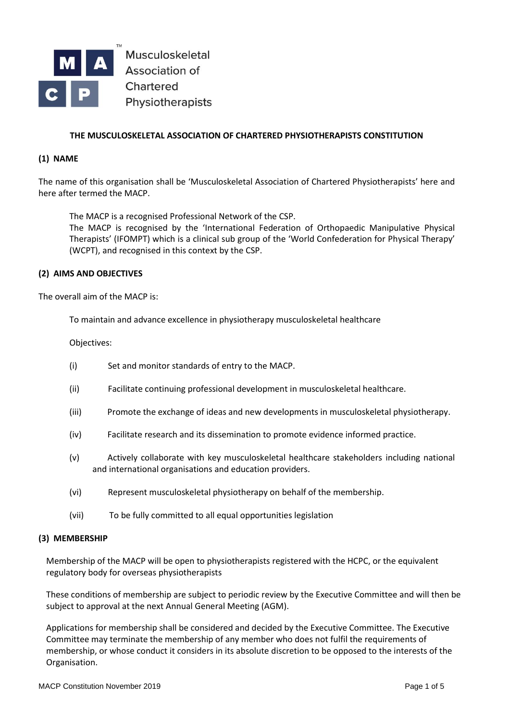

Musculoskeletal **Association of** Chartered Physiotherapists

# **THE MUSCULOSKELETAL ASSOCIATION OF CHARTERED PHYSIOTHERAPISTS CONSTITUTION**

## **(1) NAME**

The name of this organisation shall be 'Musculoskeletal Association of Chartered Physiotherapists' here and here after termed the MACP.

The MACP is a recognised Professional Network of the CSP. The MACP is recognised by the 'International Federation of Orthopaedic Manipulative Physical

Therapists' (IFOMPT) which is a clinical sub group of the 'World Confederation for Physical Therapy' (WCPT), and recognised in this context by the CSP.

## **(2) AIMS AND OBJECTIVES**

The overall aim of the MACP is:

To maintain and advance excellence in physiotherapy musculoskeletal healthcare

Objectives:

- (i) Set and monitor standards of entry to the MACP.
- (ii) Facilitate continuing professional development in musculoskeletal healthcare.
- (iii) Promote the exchange of ideas and new developments in musculoskeletal physiotherapy.
- (iv) Facilitate research and its dissemination to promote evidence informed practice.
- (v) Actively collaborate with key musculoskeletal healthcare stakeholders including national and international organisations and education providers.
- (vi) Represent musculoskeletal physiotherapy on behalf of the membership.
- (vii) To be fully committed to all equal opportunities legislation

## **(3) MEMBERSHIP**

Membership of the MACP will be open to physiotherapists registered with the HCPC, or the equivalent regulatory body for overseas physiotherapists

These conditions of membership are subject to periodic review by the Executive Committee and will then be subject to approval at the next Annual General Meeting (AGM).

Applications for membership shall be considered and decided by the Executive Committee. The Executive Committee may terminate the membership of any member who does not fulfil the requirements of membership, or whose conduct it considers in its absolute discretion to be opposed to the interests of the Organisation.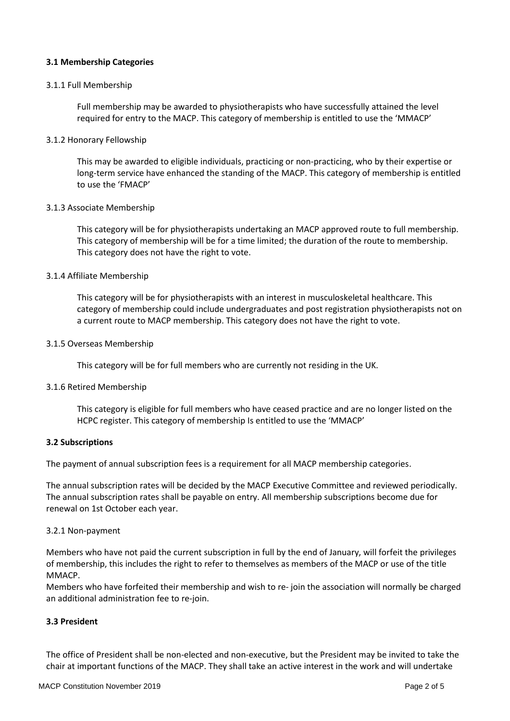# **3.1 Membership Categories**

### 3.1.1 Full Membership

Full membership may be awarded to physiotherapists who have successfully attained the level required for entry to the MACP. This category of membership is entitled to use the 'MMACP'

### 3.1.2 Honorary Fellowship

This may be awarded to eligible individuals, practicing or non-practicing, who by their expertise or long-term service have enhanced the standing of the MACP. This category of membership is entitled to use the 'FMACP'

### 3.1.3 Associate Membership

This category will be for physiotherapists undertaking an MACP approved route to full membership. This category of membership will be for a time limited; the duration of the route to membership. This category does not have the right to vote.

### 3.1.4 Affiliate Membership

This category will be for physiotherapists with an interest in musculoskeletal healthcare. This category of membership could include undergraduates and post registration physiotherapists not on a current route to MACP membership. This category does not have the right to vote.

#### 3.1.5 Overseas Membership

This category will be for full members who are currently not residing in the UK.

#### 3.1.6 Retired Membership

This category is eligible for full members who have ceased practice and are no longer listed on the HCPC register. This category of membership Is entitled to use the 'MMACP'

#### **3.2 Subscriptions**

The payment of annual subscription fees is a requirement for all MACP membership categories.

The annual subscription rates will be decided by the MACP Executive Committee and reviewed periodically. The annual subscription rates shall be payable on entry. All membership subscriptions become due for renewal on 1st October each year.

#### 3.2.1 Non-payment

Members who have not paid the current subscription in full by the end of January, will forfeit the privileges of membership, this includes the right to refer to themselves as members of the MACP or use of the title MMACP.

Members who have forfeited their membership and wish to re- join the association will normally be charged an additional administration fee to re-join.

## **3.3 President**

The office of President shall be non-elected and non-executive, but the President may be invited to take the chair at important functions of the MACP. They shall take an active interest in the work and will undertake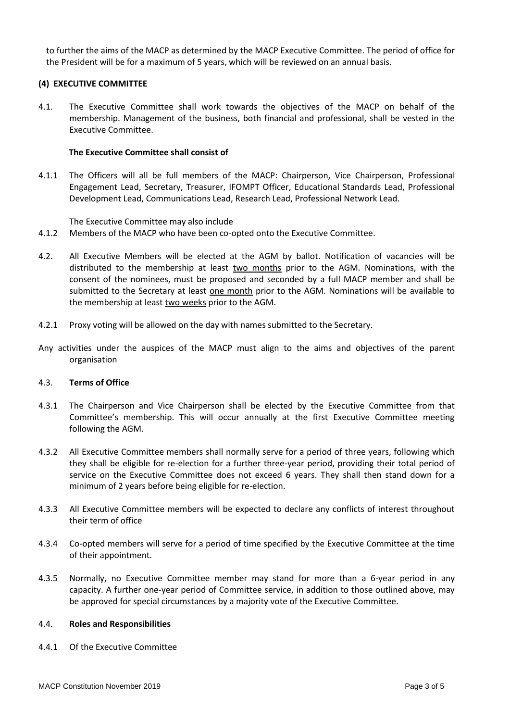to further the aims of the MACP as determined by the MACP Executive Committee. The period of office for the President will be for a maximum of 5 years, which will be reviewed on an annual basis.

## **(4) EXECUTIVE COMMITTEE**

4.1. The Executive Committee shall work towards the objectives of the MACP on behalf of the membership. Management of the business, both financial and professional, shall be vested in the Executive Committee.

### **The Executive Committee shall consist of**

4.1.1 The Officers will all be full members of the MACP: Chairperson, Vice Chairperson, Professional Engagement Lead, Secretary, Treasurer, IFOMPT Officer, Educational Standards Lead, Professional Development Lead, Communications Lead, Research Lead, Professional Network Lead.

The Executive Committee may also include

- 4.1.2 Members of the MACP who have been co-opted onto the Executive Committee.
- 4.2. All Executive Members will be elected at the AGM by ballot. Notification of vacancies will be distributed to the membership at least two months prior to the AGM. Nominations, with the consent of the nominees, must be proposed and seconded by a full MACP member and shall be submitted to the Secretary at least one month prior to the AGM. Nominations will be available to the membership at least two weeks prior to the AGM.
- 4.2.1 Proxy voting will be allowed on the day with names submitted to the Secretary.
- Any activities under the auspices of the MACP must align to the aims and objectives of the parent organisation

### 4.3. **Terms of Office**

- 4.3.1 The Chairperson and Vice Chairperson shall be elected by the Executive Committee from that Committee's membership. This will occur annually at the first Executive Committee meeting following the AGM.
- 4.3.2 All Executive Committee members shall normally serve for a period of three years, following which they shall be eligible for re-election for a further three-year period, providing their total period of service on the Executive Committee does not exceed 6 years. They shall then stand down for a minimum of 2 years before being eligible for re-election.
- 4.3.3 All Executive Committee members will be expected to declare any conflicts of interest throughout their term of office
- 4.3.4 Co-opted members will serve for a period of time specified by the Executive Committee at the time of their appointment.
- 4.3.5 Normally, no Executive Committee member may stand for more than a 6-year period in any capacity. A further one-year period of Committee service, in addition to those outlined above, may be approved for special circumstances by a majority vote of the Executive Committee.

#### 4.4. **Roles and Responsibilities**

4.4.1 Of the Executive Committee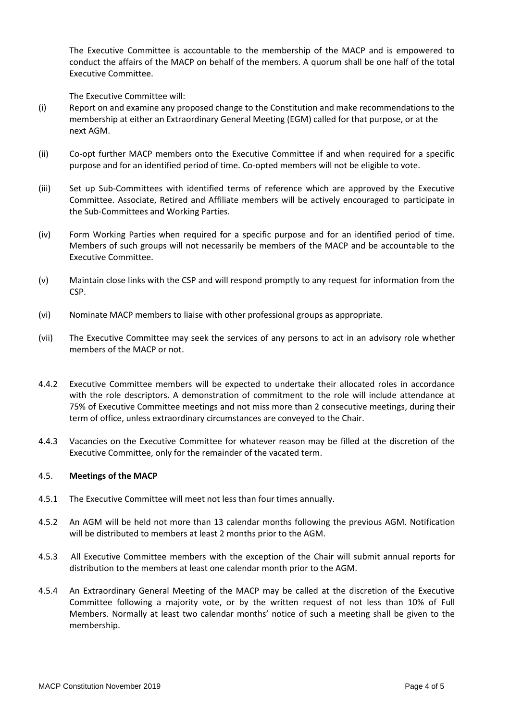The Executive Committee is accountable to the membership of the MACP and is empowered to conduct the affairs of the MACP on behalf of the members. A quorum shall be one half of the total Executive Committee.

The Executive Committee will:

- (i) Report on and examine any proposed change to the Constitution and make recommendations to the membership at either an Extraordinary General Meeting (EGM) called for that purpose, or at the next AGM.
- (ii) Co-opt further MACP members onto the Executive Committee if and when required for a specific purpose and for an identified period of time. Co-opted members will not be eligible to vote.
- (iii) Set up Sub-Committees with identified terms of reference which are approved by the Executive Committee. Associate, Retired and Affiliate members will be actively encouraged to participate in the Sub-Committees and Working Parties.
- (iv) Form Working Parties when required for a specific purpose and for an identified period of time. Members of such groups will not necessarily be members of the MACP and be accountable to the Executive Committee.
- (v) Maintain close links with the CSP and will respond promptly to any request for information from the CSP.
- (vi) Nominate MACP members to liaise with other professional groups as appropriate.
- (vii) The Executive Committee may seek the services of any persons to act in an advisory role whether members of the MACP or not.
- 4.4.2 Executive Committee members will be expected to undertake their allocated roles in accordance with the role descriptors. A demonstration of commitment to the role will include attendance at 75% of Executive Committee meetings and not miss more than 2 consecutive meetings, during their term of office, unless extraordinary circumstances are conveyed to the Chair.
- 4.4.3 Vacancies on the Executive Committee for whatever reason may be filled at the discretion of the Executive Committee, only for the remainder of the vacated term.

## 4.5. **Meetings of the MACP**

- 4.5.1 The Executive Committee will meet not less than four times annually.
- 4.5.2 An AGM will be held not more than 13 calendar months following the previous AGM. Notification will be distributed to members at least 2 months prior to the AGM.
- 4.5.3 All Executive Committee members with the exception of the Chair will submit annual reports for distribution to the members at least one calendar month prior to the AGM.
- 4.5.4 An Extraordinary General Meeting of the MACP may be called at the discretion of the Executive Committee following a majority vote, or by the written request of not less than 10% of Full Members. Normally at least two calendar months' notice of such a meeting shall be given to the membership.